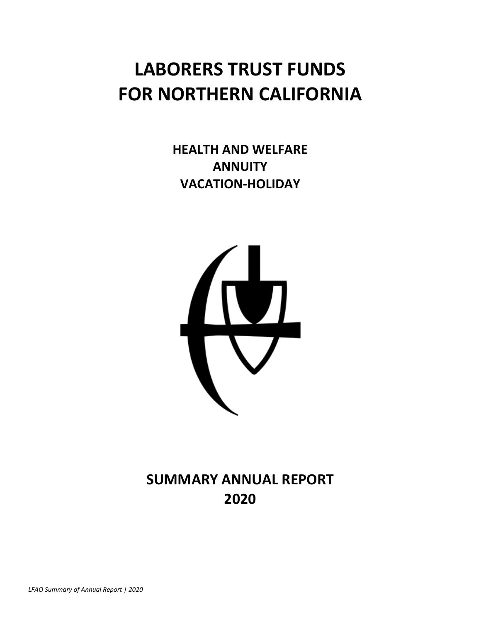# **LABORERS TRUST FUNDS FOR NORTHERN CALIFORNIA**

**HEALTH AND WELFARE ANNUITY VACATION-HOLIDAY**



**SUMMARY ANNUAL REPORT 2020**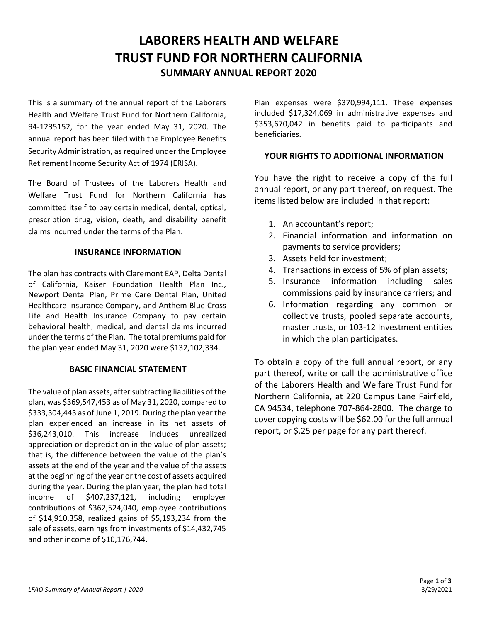# **LABORERS HEALTH AND WELFARE TRUST FUND FOR NORTHERN CALIFORNIA SUMMARY ANNUAL REPORT 2020**

This is a summary of the annual report of the Laborers Health and Welfare Trust Fund for Northern California, 94-1235152, for the year ended May 31, 2020. The annual report has been filed with the Employee Benefits Security Administration, as required under the Employee Retirement Income Security Act of 1974 (ERISA).

The Board of Trustees of the Laborers Health and Welfare Trust Fund for Northern California has committed itself to pay certain medical, dental, optical, prescription drug, vision, death, and disability benefit claims incurred under the terms of the Plan.

#### **INSURANCE INFORMATION**

The plan has contracts with Claremont EAP, Delta Dental of California, Kaiser Foundation Health Plan Inc., Newport Dental Plan, Prime Care Dental Plan, United Healthcare Insurance Company, and Anthem Blue Cross Life and Health Insurance Company to pay certain behavioral health, medical, and dental claims incurred under the terms of the Plan. The total premiums paid for the plan year ended May 31, 2020 were \$132,102,334.

#### **BASIC FINANCIAL STATEMENT**

The value of plan assets, after subtracting liabilities of the plan, was \$369,547,453 as of May 31, 2020, compared to \$333,304,443 as of June 1, 2019. During the plan year the plan experienced an increase in its net assets of \$36,243,010. This increase includes unrealized appreciation or depreciation in the value of plan assets; that is, the difference between the value of the plan's assets at the end of the year and the value of the assets at the beginning of the year or the cost of assets acquired during the year. During the plan year, the plan had total income of \$407,237,121, including employer contributions of \$362,524,040, employee contributions of \$14,910,358, realized gains of \$5,193,234 from the sale of assets, earnings from investments of \$14,432,745 and other income of \$10,176,744.

Plan expenses were \$370,994,111. These expenses included \$17,324,069 in administrative expenses and \$353,670,042 in benefits paid to participants and beneficiaries.

#### **YOUR RIGHTS TO ADDITIONAL INFORMATION**

You have the right to receive a copy of the full annual report, or any part thereof, on request. The items listed below are included in that report:

- 1. An accountant's report;
- 2. Financial information and information on payments to service providers;
- 3. Assets held for investment;
- 4. Transactions in excess of 5% of plan assets;
- 5. Insurance information including sales commissions paid by insurance carriers; and
- 6. Information regarding any common or collective trusts, pooled separate accounts, master trusts, or 103-12 Investment entities in which the plan participates.

To obtain a copy of the full annual report, or any part thereof, write or call the administrative office of the Laborers Health and Welfare Trust Fund for Northern California, at 220 Campus Lane Fairfield, CA 94534, telephone 707-864-2800. The charge to cover copying costs will be \$62.00 for the full annual report, or \$.25 per page for any part thereof.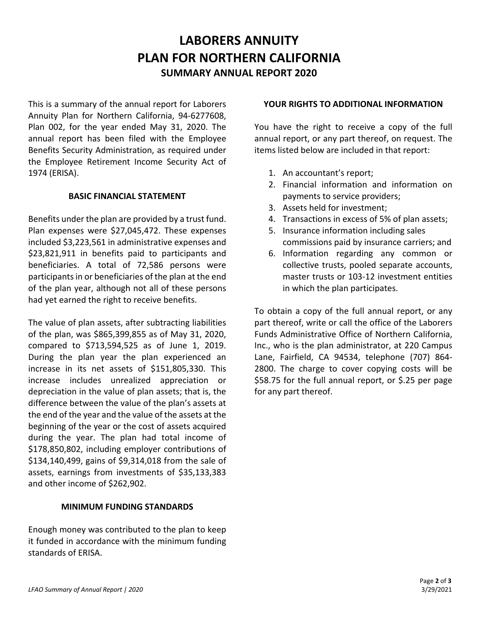# **LABORERS ANNUITY PLAN FOR NORTHERN CALIFORNIA SUMMARY ANNUAL REPORT 2020**

This is a summary of the annual report for Laborers Annuity Plan for Northern California, 94-6277608, Plan 002, for the year ended May 31, 2020. The annual report has been filed with the Employee Benefits Security Administration, as required under the Employee Retirement Income Security Act of 1974 (ERISA).

#### **BASIC FINANCIAL STATEMENT**

Benefits under the plan are provided by a trust fund. Plan expenses were \$27,045,472. These expenses included \$3,223,561 in administrative expenses and \$23,821,911 in benefits paid to participants and beneficiaries. A total of 72,586 persons were participants in or beneficiaries of the plan at the end of the plan year, although not all of these persons had yet earned the right to receive benefits.

The value of plan assets, after subtracting liabilities of the plan, was \$865,399,855 as of May 31, 2020, compared to \$713,594,525 as of June 1, 2019. During the plan year the plan experienced an increase in its net assets of \$151,805,330. This increase includes unrealized appreciation or depreciation in the value of plan assets; that is, the difference between the value of the plan's assets at the end of the year and the value of the assets at the beginning of the year or the cost of assets acquired during the year. The plan had total income of \$178,850,802, including employer contributions of \$134,140,499, gains of \$9,314,018 from the sale of assets, earnings from investments of \$35,133,383 and other income of \$262,902.

#### **MINIMUM FUNDING STANDARDS**

Enough money was contributed to the plan to keep it funded in accordance with the minimum funding standards of ERISA.

#### **YOUR RIGHTS TO ADDITIONAL INFORMATION**

You have the right to receive a copy of the full annual report, or any part thereof, on request. The items listed below are included in that report:

- 1. An accountant's report;
- 2. Financial information and information on payments to service providers;
- 3. Assets held for investment;
- 4. Transactions in excess of 5% of plan assets;
- 5. Insurance information including sales commissions paid by insurance carriers; and
- 6. Information regarding any common or collective trusts, pooled separate accounts, master trusts or 103-12 investment entities in which the plan participates.

To obtain a copy of the full annual report, or any part thereof, write or call the office of the Laborers Funds Administrative Office of Northern California, Inc., who is the plan administrator, at 220 Campus Lane, Fairfield, CA 94534, telephone (707) 864- 2800. The charge to cover copying costs will be \$58.75 for the full annual report, or \$.25 per page for any part thereof.